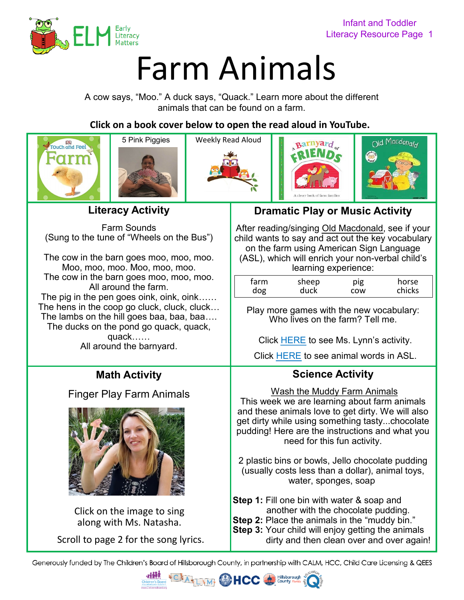

# [F](www.earlyliteracymatters.com)arm Animals

A cow says, "Moo." A duck says, "Quack." Learn more about the different animals that can be found on a farm.

**Click on a book cover below to open the read aloud in YouTube.** 









**Literacy Activity**

Farm Sounds (Sung to the tune of "Wheels on the Bus")

The cow in the barn goes moo, moo, moo. Moo, moo, moo. Moo, moo, moo. The cow in the barn goes moo, moo, moo. All around the farm. The pig in the pen goes oink, oink, oink…… The hens in the coop go cluck, cluck, cluck… The lambs on the hill goes baa, baa, baa…. The ducks on the pond go quack, quack,

> quack…… All around the barnyard.

# **Math Activity**

### [Finger Play Farm Animals](https://youtu.be/0CCNs4C1LP4)



[Click on the image to sing](https://youtu.be/0CCNs4C1LP4) along with Ms. Natasha.

Scroll to page 2 for the song lyrics.

## **Dramatic Play or Music Activity**

After reading/singing [Old Macdonald,](https://youtu.be/bva_z4mmdCI) see if your child wants to say and act out the key vocabulary on the farm using American Sign Language (ASL), which will enrich your non-verbal child's

learning experience:

| farm | sheep | pig | horse  |
|------|-------|-----|--------|
| dog  | duck  | COW | chicks |

Play more games with the new vocabulary: Who lives on the farm? Tell me.

Click [HERE](https://youtu.be/LKobeL38YFw) to see Ms. Lynn's activity.

Click [HERE](https://26d1cb60-a951-4721-b330-1bf8fd66c702.filesusr.com/ugd/6d6c33_dac7c87312ed43f686bc1346f6f695cb.pdf) to see animal words in ASL.

## **Science Activity**

Wash the Muddy Farm Animals This week we are learning about farm animals and these animals love to get dirty. We will also get dirty while using something tasty...chocolate pudding! Here are the instructions and what you need for this fun activity.

2 plastic bins or bowls, Jello chocolate pudding (usually costs less than a dollar), animal toys, water, sponges, soap

**Step 1:** Fill one bin with water & soap and another with the chocolate pudding.

**Step 2:** Place the animals in the "muddy bin."

**Step 3:** Your child will enjoy getting the animals dirty and then clean over and over again!

Generously funded by The Children's Board of Hillsborough County, in partnership with CALM, HCC, Child Care Licensing & QEES